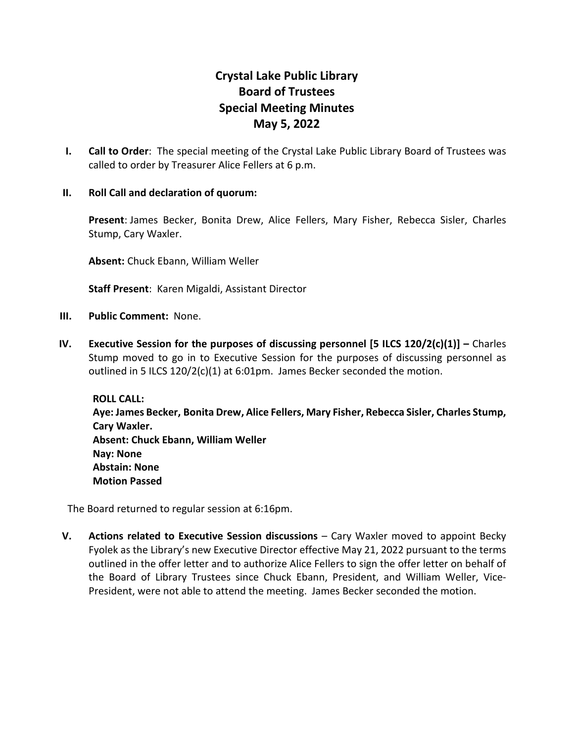## **Crystal Lake Public Library Board of Trustees Special Meeting Minutes May 5, 2022**

**I. Call to Order**: The special meeting of the Crystal Lake Public Library Board of Trustees was called to order by Treasurer Alice Fellers at 6 p.m.

## **II. Roll Call and declaration of quorum:**

**Present**: James Becker, Bonita Drew, Alice Fellers, Mary Fisher, Rebecca Sisler, Charles Stump, Cary Waxler.

**Absent:** Chuck Ebann, William Weller

**Staff Present**: Karen Migaldi, Assistant Director

- **III. Public Comment:** None.
- **IV. Executive Session for the purposes of discussing personnel [5 ILCS 120/2(c)(1)] –** Charles Stump moved to go in to Executive Session for the purposes of discussing personnel as outlined in 5 ILCS 120/2(c)(1) at 6:01pm. James Becker seconded the motion.

**ROLL CALL: Aye: James Becker, Bonita Drew, Alice Fellers, Mary Fisher, Rebecca Sisler, Charles Stump, Cary Waxler. Absent: Chuck Ebann, William Weller Nay: None Abstain: None Motion Passed**

The Board returned to regular session at 6:16pm.

**V. Actions related to Executive Session discussions** – Cary Waxler moved to appoint Becky Fyolek as the Library's new Executive Director effective May 21, 2022 pursuant to the terms outlined in the offer letter and to authorize Alice Fellers to sign the offer letter on behalf of the Board of Library Trustees since Chuck Ebann, President, and William Weller, Vice-President, were not able to attend the meeting. James Becker seconded the motion.